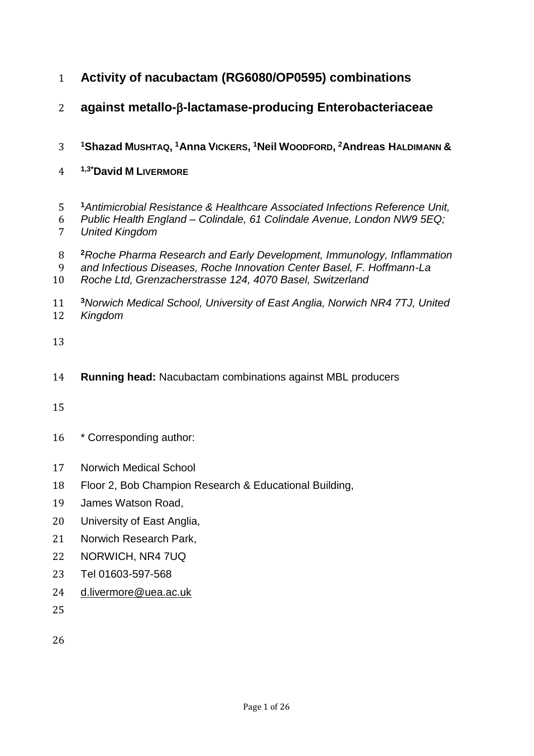- **Activity of nacubactam (RG6080/OP0595) combinations**
- **against metallo--lactamase-producing Enterobacteriaceae**
- **<sup>1</sup>Shazad MUSHTAQ, <sup>1</sup>Anna VICKERS, <sup>1</sup>Neil WOODFORD, <sup>2</sup>Andreas HALDIMANN &**
- **1,3\*David M LIVERMORE**
- *Antimicrobial Resistance & Healthcare Associated Infections Reference Unit,*
- *Public Health England – Colindale, 61 Colindale Avenue, London NW9 5EQ;*
- *United Kingdom*
- *Roche Pharma Research and Early Development, Immunology, Inflammation*
- *and Infectious Diseases, Roche Innovation Center Basel, F. Hoffmann-La*
- *Roche Ltd, Grenzacherstrasse 124, 4070 Basel, Switzerland*
- **<sup>3</sup>***Norwich Medical School, University of East Anglia, Norwich NR4 7TJ, United Kingdom*
- 
- **Running head:** Nacubactam combinations against MBL producers
- 
- \* Corresponding author:
- Norwich Medical School
- Floor 2, Bob Champion Research & Educational Building,
- James Watson Road,
- University of East Anglia,
- Norwich Research Park,
- NORWICH, NR4 7UQ
- Tel 01603-597-568
- [d.livermore@uea.ac.uk](mailto:d.livermore@uea.ac.uk)
-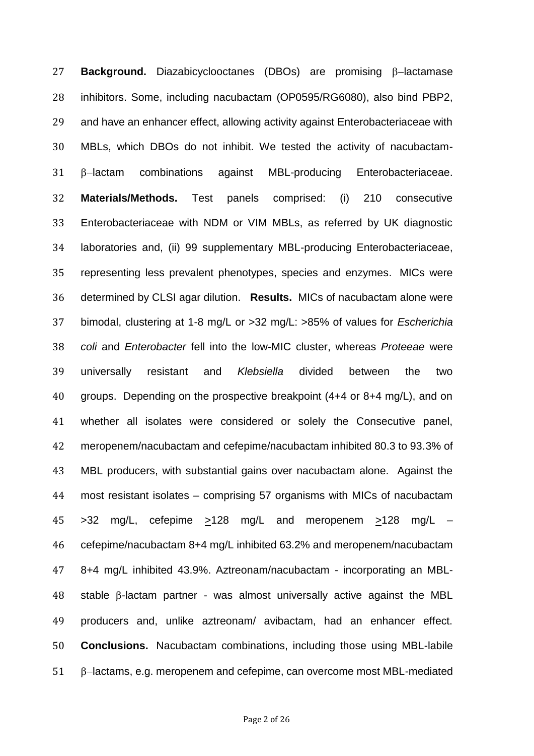**Background.** Diazabicyclooctanes (DBOs) are promising  $\beta$ -lactamase inhibitors. Some, including nacubactam (OP0595/RG6080), also bind PBP2, and have an enhancer effect, allowing activity against Enterobacteriaceae with MBLs, which DBOs do not inhibit. We tested the activity of nacubactam-  $\beta$ -lactam combinations against MBL-producing Enterobacteriaceae. **Materials/Methods.** Test panels comprised: (i) 210 consecutive Enterobacteriaceae with NDM or VIM MBLs, as referred by UK diagnostic laboratories and, (ii) 99 supplementary MBL-producing Enterobacteriaceae, representing less prevalent phenotypes, species and enzymes. MICs were determined by CLSI agar dilution. **Results.** MICs of nacubactam alone were bimodal, clustering at 1-8 mg/L or >32 mg/L: >85% of values for *Escherichia coli* and *Enterobacter* fell into the low-MIC cluster, whereas *Proteeae* were universally resistant and *Klebsiella* divided between the two groups. Depending on the prospective breakpoint (4+4 or 8+4 mg/L), and on whether all isolates were considered or solely the Consecutive panel, meropenem/nacubactam and cefepime/nacubactam inhibited 80.3 to 93.3% of MBL producers, with substantial gains over nacubactam alone. Against the most resistant isolates – comprising 57 organisms with MICs of nacubactam >32 mg/L, cefepime >128 mg/L and meropenem >128 mg/L – cefepime/nacubactam 8+4 mg/L inhibited 63.2% and meropenem/nacubactam 8+4 mg/L inhibited 43.9%. Aztreonam/nacubactam - incorporating an MBL-48 stable  $\beta$ -lactam partner - was almost universally active against the MBL producers and, unlike aztreonam/ avibactam, had an enhancer effect. **Conclusions.** Nacubactam combinations, including those using MBL-labile  $\beta$ -lactams, e.g. meropenem and cefepime, can overcome most MBL-mediated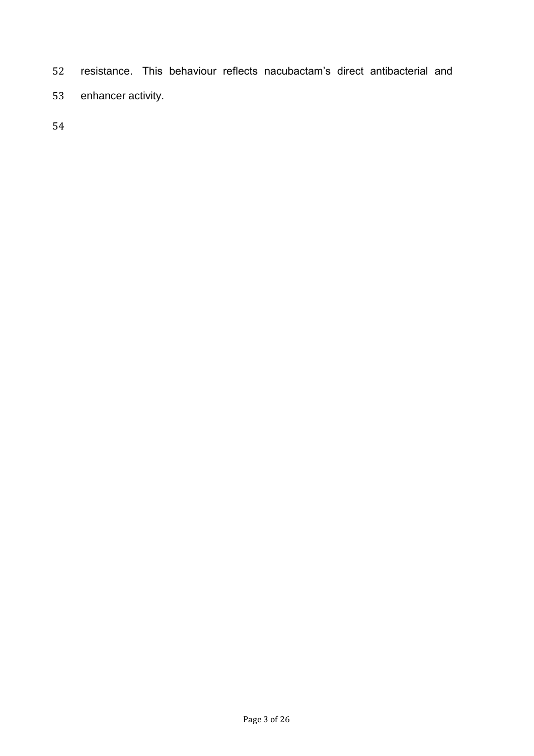- resistance. This behaviour reflects nacubactam's direct antibacterial and
- enhancer activity.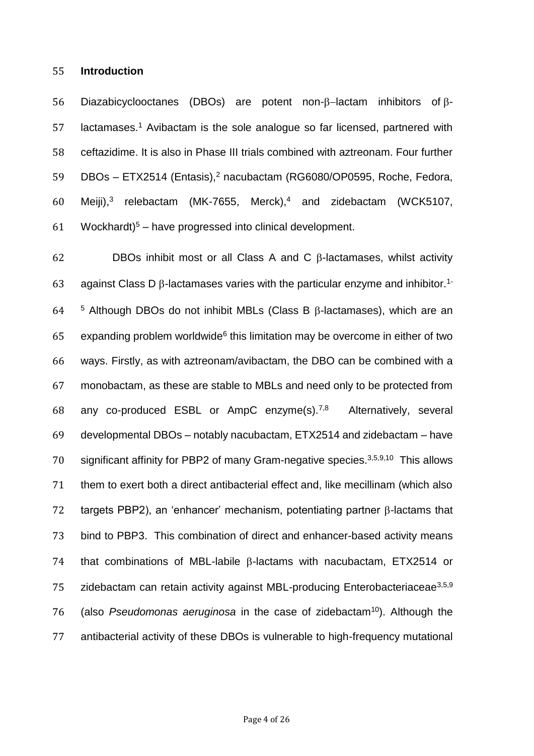#### 55 **Introduction**

56 Diazabicyclooctanes (DBOs) are potent non- $\beta$ -lactam inhibitors of  $\beta$ - $57$  lactamases.<sup>1</sup> Avibactam is the sole analogue so far licensed, partnered with 58 ceftazidime. It is also in Phase III trials combined with aztreonam. Four further 59 DBOs – ETX2514 (Entasis),<sup>2</sup> nacubactam (RG6080/OP0595, Roche, Fedora, 60 Meiji),<sup>3</sup> relebactam (MK-7655, Merck),<sup>4</sup> and zidebactam (WCK5107, 61 Wockhardt)<sup>5</sup> – have progressed into clinical development.

62 DBOs inhibit most or all Class A and C  $\beta$ -lactamases, whilst activity 63 against Class D  $\beta$ -lactamases varies with the particular enzyme and inhibitor.<sup>1-</sup> 64  $-5$  Although DBOs do not inhibit MBLs (Class B  $\beta$ -lactamases), which are an  $65$  expanding problem worldwide<sup>6</sup> this limitation may be overcome in either of two 66 ways. Firstly, as with aztreonam/avibactam, the DBO can be combined with a 67 monobactam, as these are stable to MBLs and need only to be protected from 68 any co-produced ESBL or AmpC enzyme(s).<sup>7,8</sup> Alternatively, several 69 developmental DBOs – notably nacubactam, ETX2514 and zidebactam – have 70 significant affinity for PBP2 of many Gram-negative species.  $3,5,9,10$  This allows 71 them to exert both a direct antibacterial effect and, like mecillinam (which also 72 targets PBP2), an 'enhancer' mechanism, potentiating partner  $\beta$ -lactams that 73 bind to PBP3. This combination of direct and enhancer-based activity means 74 that combinations of MBL-labile  $\beta$ -lactams with nacubactam, ETX2514 or zidebactam can retain activity against MBL-producing Enterobacteriaceae<sup>3,5,9</sup> 76 (also *Pseudomonas aeruginosa* in the case of zidebactam<sup>10</sup>). Although the 77 antibacterial activity of these DBOs is vulnerable to high-frequency mutational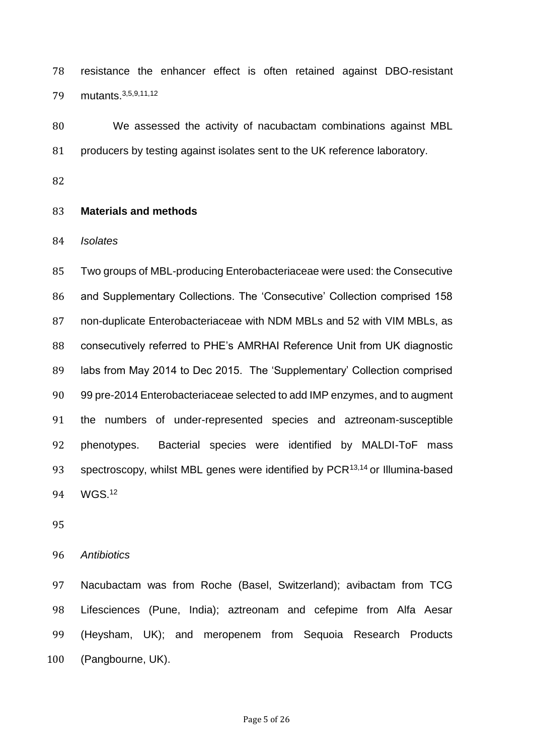resistance the enhancer effect is often retained against DBO-resistant 79 mutants. 3,5,9,11,12

 We assessed the activity of nacubactam combinations against MBL producers by testing against isolates sent to the UK reference laboratory.

## **Materials and methods**

*Isolates*

 Two groups of MBL-producing Enterobacteriaceae were used: the Consecutive and Supplementary Collections. The 'Consecutive' Collection comprised 158 non-duplicate Enterobacteriaceae with NDM MBLs and 52 with VIM MBLs, as consecutively referred to PHE's AMRHAI Reference Unit from UK diagnostic labs from May 2014 to Dec 2015. The 'Supplementary' Collection comprised 99 pre-2014 Enterobacteriaceae selected to add IMP enzymes, and to augment the numbers of under-represented species and aztreonam-susceptible phenotypes. Bacterial species were identified by MALDI-ToF mass 93 spectroscopy, whilst MBL genes were identified by  $PCR<sup>13,14</sup>$  or Illumina-based 94 WGS.<sup>12</sup>

## *Antibiotics*

 Nacubactam was from Roche (Basel, Switzerland); avibactam from TCG Lifesciences (Pune, India); aztreonam and cefepime from Alfa Aesar (Heysham, UK); and meropenem from Sequoia Research Products (Pangbourne, UK).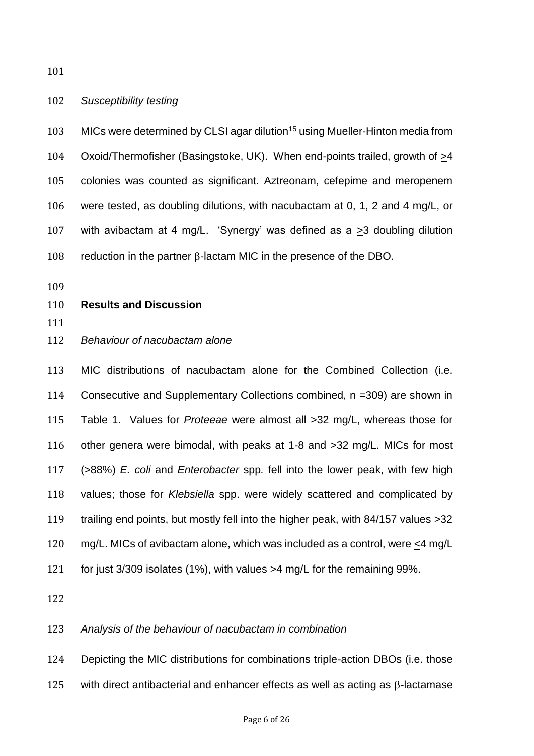#### *Susceptibility testing*

103 MICs were determined by CLSI agar dilution<sup>15</sup> using Mueller-Hinton media from Oxoid/Thermofisher (Basingstoke, UK). When end-points trailed, growth of >4 colonies was counted as significant. Aztreonam, cefepime and meropenem were tested, as doubling dilutions, with nacubactam at 0, 1, 2 and 4 mg/L, or with avibactam at 4 mg/L. 'Synergy' was defined as a >3 doubling dilution 108 reduction in the partner  $\beta$ -lactam MIC in the presence of the DBO.

#### **Results and Discussion**

# *Behaviour of nacubactam alone*

 MIC distributions of nacubactam alone for the Combined Collection (i.e. Consecutive and Supplementary Collections combined, n =309) are shown in Table 1. Values for *Proteeae* were almost all >32 mg/L, whereas those for other genera were bimodal, with peaks at 1-8 and >32 mg/L. MICs for most (>88%) *E. coli* and *Enterobacter* spp*.* fell into the lower peak, with few high values; those for *Klebsiella* spp. were widely scattered and complicated by trailing end points, but mostly fell into the higher peak, with 84/157 values >32 mg/L. MICs of avibactam alone, which was included as a control, were <4 mg/L for just 3/309 isolates (1%), with values >4 mg/L for the remaining 99%.

## *Analysis of the behaviour of nacubactam in combination*

Depicting the MIC distributions for combinations triple-action DBOs (i.e. those

with direct antibacterial and enhancer effects as well as acting as  $\beta$ -lactamase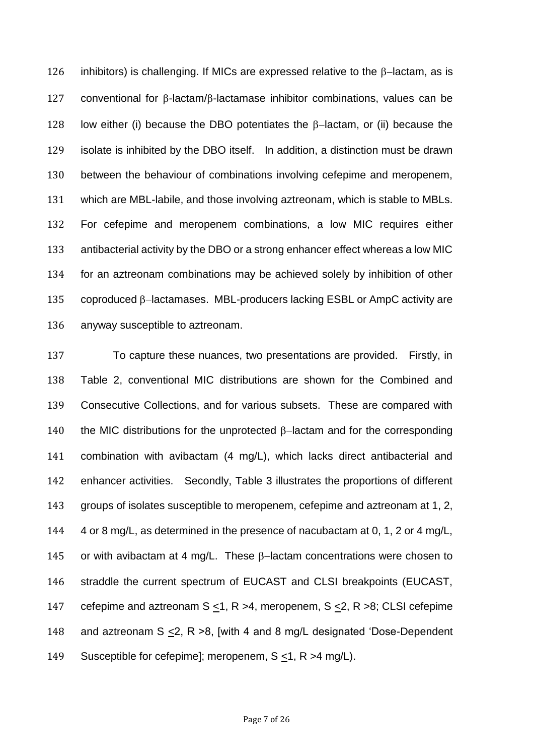126 inhibitors) is challenging. If MICs are expressed relative to the  $\beta$ -lactam, as is conventional for  $\beta$ -lactam/ $\beta$ -lactamase inhibitor combinations, values can be 128 low either (i) because the DBO potentiates the  $\beta$ -lactam, or (ii) because the isolate is inhibited by the DBO itself. In addition, a distinction must be drawn between the behaviour of combinations involving cefepime and meropenem, which are MBL-labile, and those involving aztreonam, which is stable to MBLs. For cefepime and meropenem combinations, a low MIC requires either antibacterial activity by the DBO or a strong enhancer effect whereas a low MIC for an aztreonam combinations may be achieved solely by inhibition of other 135 coproduced  $\beta$ -lactamases. MBL-producers lacking ESBL or AmpC activity are anyway susceptible to aztreonam.

 To capture these nuances, two presentations are provided. Firstly, in Table 2, conventional MIC distributions are shown for the Combined and Consecutive Collections, and for various subsets. These are compared with 140 the MIC distributions for the unprotected  $\beta$ -lactam and for the corresponding combination with avibactam (4 mg/L), which lacks direct antibacterial and enhancer activities. Secondly, Table 3 illustrates the proportions of different groups of isolates susceptible to meropenem, cefepime and aztreonam at 1, 2, 4 or 8 mg/L, as determined in the presence of nacubactam at 0, 1, 2 or 4 mg/L, 145 or with avibactam at 4 mg/L. These  $\beta$ -lactam concentrations were chosen to straddle the current spectrum of EUCAST and CLSI breakpoints (EUCAST, cefepime and aztreonam S <1, R >4, meropenem, S <2, R >8; CLSI cefepime 148 and aztreonam  $S \le 2$ , R >8, [with 4 and 8 mg/L designated 'Dose-Dependent Susceptible for cefepime]; meropenem, S <1, R >4 mg/L).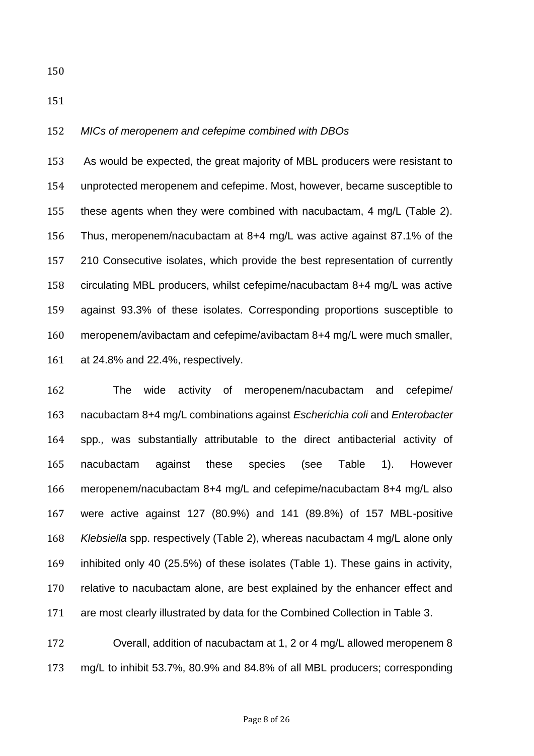#### *MICs of meropenem and cefepime combined with DBOs*

 As would be expected, the great majority of MBL producers were resistant to unprotected meropenem and cefepime. Most, however, became susceptible to these agents when they were combined with nacubactam, 4 mg/L (Table 2). Thus, meropenem/nacubactam at 8+4 mg/L was active against 87.1% of the 210 Consecutive isolates, which provide the best representation of currently circulating MBL producers, whilst cefepime/nacubactam 8+4 mg/L was active against 93.3% of these isolates. Corresponding proportions susceptible to meropenem/avibactam and cefepime/avibactam 8+4 mg/L were much smaller, at 24.8% and 22.4%, respectively.

 The wide activity of meropenem/nacubactam and cefepime/ nacubactam 8+4 mg/L combinations against *Escherichia coli* and *Enterobacter*  spp*.,* was substantially attributable to the direct antibacterial activity of nacubactam against these species (see Table 1). However meropenem/nacubactam 8+4 mg/L and cefepime/nacubactam 8+4 mg/L also were active against 127 (80.9%) and 141 (89.8%) of 157 MBL-positive *Klebsiella* spp. respectively (Table 2), whereas nacubactam 4 mg/L alone only inhibited only 40 (25.5%) of these isolates (Table 1). These gains in activity, relative to nacubactam alone, are best explained by the enhancer effect and are most clearly illustrated by data for the Combined Collection in Table 3.

 Overall, addition of nacubactam at 1, 2 or 4 mg/L allowed meropenem 8 mg/L to inhibit 53.7%, 80.9% and 84.8% of all MBL producers; corresponding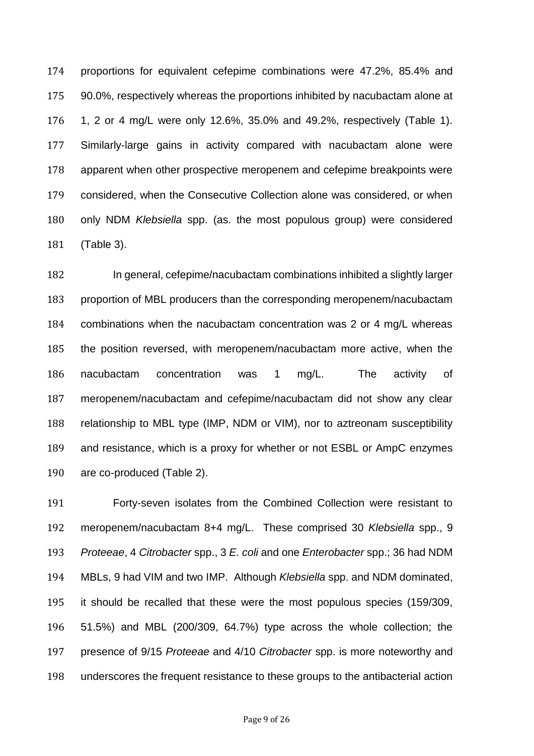proportions for equivalent cefepime combinations were 47.2%, 85.4% and 90.0%, respectively whereas the proportions inhibited by nacubactam alone at 1, 2 or 4 mg/L were only 12.6%, 35.0% and 49.2%, respectively (Table 1). Similarly-large gains in activity compared with nacubactam alone were apparent when other prospective meropenem and cefepime breakpoints were considered, when the Consecutive Collection alone was considered, or when only NDM *Klebsiella* spp. (as. the most populous group) were considered (Table 3).

 In general, cefepime/nacubactam combinations inhibited a slightly larger proportion of MBL producers than the corresponding meropenem/nacubactam combinations when the nacubactam concentration was 2 or 4 mg/L whereas the position reversed, with meropenem/nacubactam more active, when the nacubactam concentration was 1 mg/L. The activity of meropenem/nacubactam and cefepime/nacubactam did not show any clear relationship to MBL type (IMP, NDM or VIM), nor to aztreonam susceptibility and resistance, which is a proxy for whether or not ESBL or AmpC enzymes are co-produced (Table 2).

 Forty-seven isolates from the Combined Collection were resistant to meropenem/nacubactam 8+4 mg/L. These comprised 30 *Klebsiella* spp., 9 *Proteeae*, 4 *Citrobacter* spp., 3 *E. coli* and one *Enterobacter* spp.; 36 had NDM MBLs, 9 had VIM and two IMP. Although *Klebsiella* spp. and NDM dominated, it should be recalled that these were the most populous species (159/309, 51.5%) and MBL (200/309, 64.7%) type across the whole collection; the presence of 9/15 *Proteeae* and 4/10 *Citrobacter* spp. is more noteworthy and underscores the frequent resistance to these groups to the antibacterial action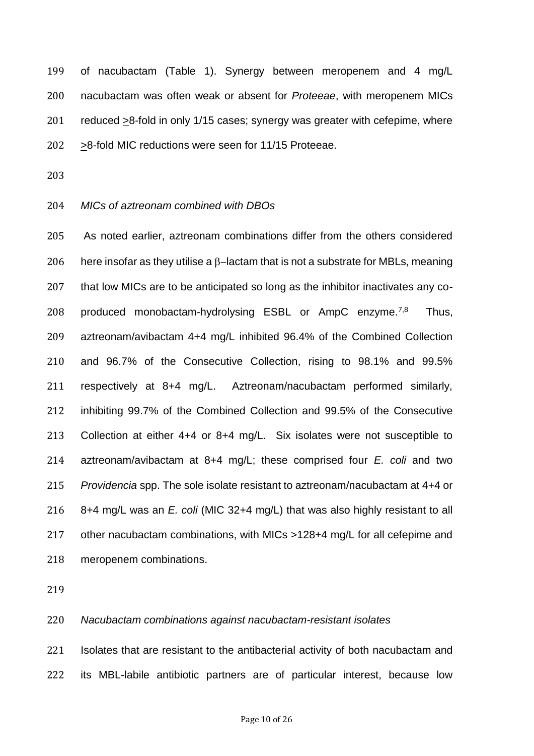of nacubactam (Table 1). Synergy between meropenem and 4 mg/L nacubactam was often weak or absent for *Proteeae*, with meropenem MICs reduced >8-fold in only 1/15 cases; synergy was greater with cefepime, where >8-fold MIC reductions were seen for 11/15 Proteeae.

#### *MICs of aztreonam combined with DBOs*

 As noted earlier, aztreonam combinations differ from the others considered 206 here insofar as they utilise a  $\beta$ -lactam that is not a substrate for MBLs, meaning that low MICs are to be anticipated so long as the inhibitor inactivates any co-208 produced monobactam-hydrolysing ESBL or  $AmpC$  enzyme.<sup>7,8</sup> Thus, aztreonam/avibactam 4+4 mg/L inhibited 96.4% of the Combined Collection and 96.7% of the Consecutive Collection, rising to 98.1% and 99.5% respectively at 8+4 mg/L. Aztreonam/nacubactam performed similarly, inhibiting 99.7% of the Combined Collection and 99.5% of the Consecutive Collection at either 4+4 or 8+4 mg/L. Six isolates were not susceptible to aztreonam/avibactam at 8+4 mg/L; these comprised four *E. coli* and two *Providencia* spp. The sole isolate resistant to aztreonam/nacubactam at 4+4 or 8+4 mg/L was an *E. coli* (MIC 32+4 mg/L) that was also highly resistant to all other nacubactam combinations, with MICs >128+4 mg/L for all cefepime and meropenem combinations.

# *Nacubactam combinations against nacubactam-resistant isolates*

 Isolates that are resistant to the antibacterial activity of both nacubactam and its MBL-labile antibiotic partners are of particular interest, because low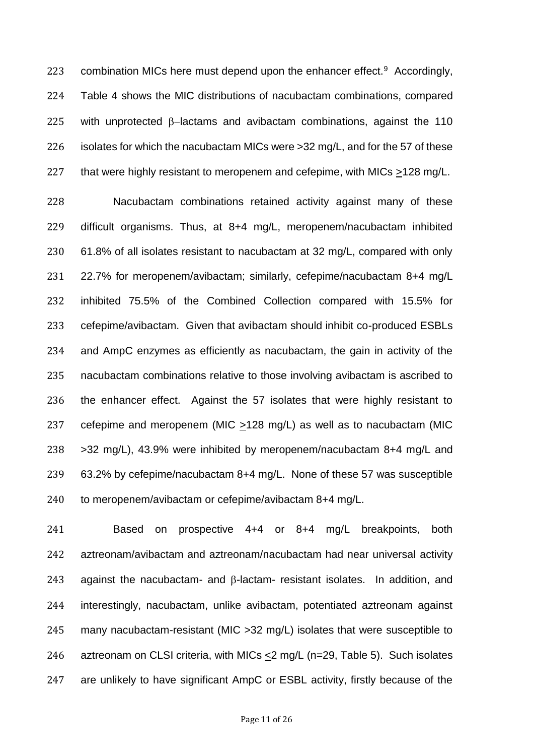223 combination MICs here must depend upon the enhancer effect. Accordingly, Table 4 shows the MIC distributions of nacubactam combinations, compared 225 with unprotected  $\beta$ -lactams and avibactam combinations, against the 110 isolates for which the nacubactam MICs were >32 mg/L, and for the 57 of these 227 that were highly resistant to meropenem and cefepime, with MICs >128 mg/L.

 Nacubactam combinations retained activity against many of these difficult organisms. Thus, at 8+4 mg/L, meropenem/nacubactam inhibited 61.8% of all isolates resistant to nacubactam at 32 mg/L, compared with only 22.7% for meropenem/avibactam; similarly, cefepime/nacubactam 8+4 mg/L inhibited 75.5% of the Combined Collection compared with 15.5% for cefepime/avibactam. Given that avibactam should inhibit co-produced ESBLs and AmpC enzymes as efficiently as nacubactam, the gain in activity of the nacubactam combinations relative to those involving avibactam is ascribed to the enhancer effect. Against the 57 isolates that were highly resistant to cefepime and meropenem (MIC >128 mg/L) as well as to nacubactam (MIC >32 mg/L), 43.9% were inhibited by meropenem/nacubactam 8+4 mg/L and 63.2% by cefepime/nacubactam 8+4 mg/L. None of these 57 was susceptible 240 to meropenem/avibactam or cefepime/avibactam 8+4 mg/L.

 Based on prospective 4+4 or 8+4 mg/L breakpoints, both aztreonam/avibactam and aztreonam/nacubactam had near universal activity 243 against the nacubactam- and  $\beta$ -lactam- resistant isolates. In addition, and interestingly, nacubactam, unlike avibactam, potentiated aztreonam against many nacubactam-resistant (MIC >32 mg/L) isolates that were susceptible to aztreonam on CLSI criteria, with MICs <2 mg/L (n=29, Table 5). Such isolates are unlikely to have significant AmpC or ESBL activity, firstly because of the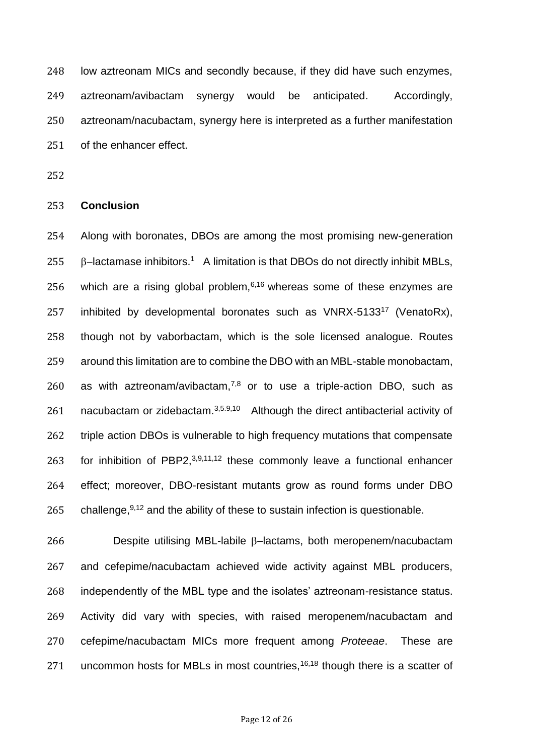low aztreonam MICs and secondly because, if they did have such enzymes, aztreonam/avibactam synergy would be anticipated. Accordingly, aztreonam/nacubactam, synergy here is interpreted as a further manifestation of the enhancer effect.

#### **Conclusion**

 Along with boronates, DBOs are among the most promising new-generation 255  $\beta$ -lactamase inhibitors.<sup>1</sup> A limitation is that DBOs do not directly inhibit MBLs, 256 which are a rising global problem,  $6,16$  whereas some of these enzymes are 257 inhibited by developmental boronates such as VNRX-5133<sup>17</sup> (VenatoRx), though not by vaborbactam, which is the sole licensed analogue. Routes around this limitation are to combine the DBO with an MBL-stable monobactam, 260 as with aztreonam/avibactam, $7,8$  or to use a triple-action DBO, such as 261 nacubactam or zidebactam. $3,5.9,10$  Although the direct antibacterial activity of triple action DBOs is vulnerable to high frequency mutations that compensate 263 for inhibition of PBP2, $3,9,11,12$  these commonly leave a functional enhancer effect; moreover, DBO-resistant mutants grow as round forms under DBO 265 challenge,  $9,12$  and the ability of these to sustain infection is questionable.

 Despite utilising MBL-labile  $\beta$ -lactams, both meropenem/nacubactam and cefepime/nacubactam achieved wide activity against MBL producers, independently of the MBL type and the isolates' aztreonam-resistance status. Activity did vary with species, with raised meropenem/nacubactam and cefepime/nacubactam MICs more frequent among *Proteeae*. These are 271 uncommon hosts for MBLs in most countries,  $16,18$  though there is a scatter of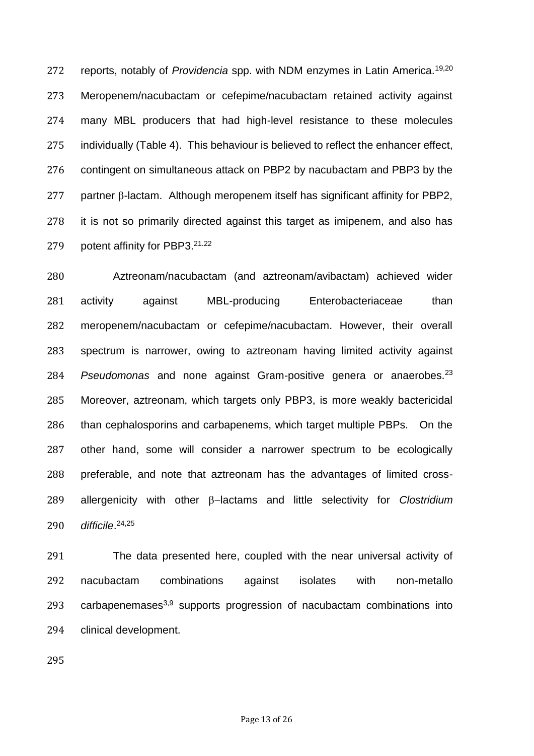reports, notably of *Providencia* spp. with NDM enzymes in Latin America.19,20 Meropenem/nacubactam or cefepime/nacubactam retained activity against many MBL producers that had high-level resistance to these molecules individually (Table 4). This behaviour is believed to reflect the enhancer effect, contingent on simultaneous attack on PBP2 by nacubactam and PBP3 by the partner  $\beta$ -lactam. Although meropenem itself has significant affinity for PBP2, it is not so primarily directed against this target as imipenem, and also has 279 potent affinity for PBP3.21.22

 Aztreonam/nacubactam (and aztreonam/avibactam) achieved wider activity against MBL-producing Enterobacteriaceae than meropenem/nacubactam or cefepime/nacubactam. However, their overall spectrum is narrower, owing to aztreonam having limited activity against 284 Pseudomonas and none against Gram-positive genera or anaerobes.<sup>23</sup> Moreover, aztreonam, which targets only PBP3, is more weakly bactericidal than cephalosporins and carbapenems, which target multiple PBPs. On the other hand, some will consider a narrower spectrum to be ecologically preferable, and note that aztreonam has the advantages of limited cross-289 allergenicity with other  $\beta$ -lactams and little selectivity for *Clostridium difficile*. 24,25

 The data presented here, coupled with the near universal activity of nacubactam combinations against isolates with non-metallo 293 carbapenemases<sup>3,9</sup> supports progression of nacubactam combinations into clinical development.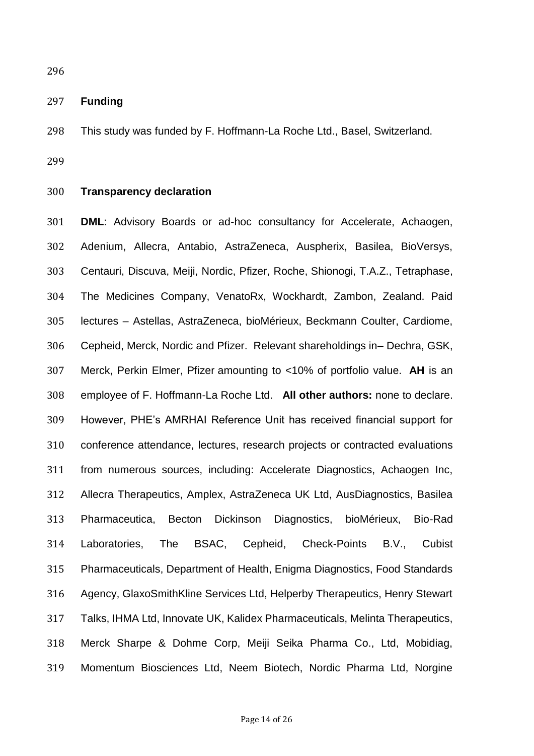## **Funding**

This study was funded by F. Hoffmann-La Roche Ltd., Basel, Switzerland.

### **Transparency declaration**

 **DML**: Advisory Boards or ad-hoc consultancy for Accelerate, Achaogen, Adenium, Allecra, Antabio, AstraZeneca, Auspherix, Basilea, BioVersys, Centauri, Discuva, Meiji, Nordic, Pfizer, Roche, Shionogi, T.A.Z., Tetraphase, The Medicines Company, VenatoRx, Wockhardt, Zambon, Zealand. Paid lectures – Astellas, AstraZeneca, bioMérieux, Beckmann Coulter, Cardiome, Cepheid, Merck, Nordic and Pfizer. Relevant shareholdings in– Dechra, GSK, Merck, Perkin Elmer, Pfizer amounting to <10% of portfolio value. **AH** is an employee of F. Hoffmann-La Roche Ltd. **All other authors:** none to declare. However, PHE's AMRHAI Reference Unit has received financial support for conference attendance, lectures, research projects or contracted evaluations from numerous sources, including: Accelerate Diagnostics, Achaogen Inc, Allecra Therapeutics, Amplex, AstraZeneca UK Ltd, AusDiagnostics, Basilea Pharmaceutica, Becton Dickinson Diagnostics, bioMérieux, Bio-Rad Laboratories, The BSAC, Cepheid, Check-Points B.V., Cubist Pharmaceuticals, Department of Health, Enigma Diagnostics, Food Standards Agency, GlaxoSmithKline Services Ltd, Helperby Therapeutics, Henry Stewart Talks, IHMA Ltd, Innovate UK, Kalidex Pharmaceuticals, Melinta Therapeutics, Merck Sharpe & Dohme Corp, Meiji Seika Pharma Co., Ltd, Mobidiag, Momentum Biosciences Ltd, Neem Biotech, Nordic Pharma Ltd, Norgine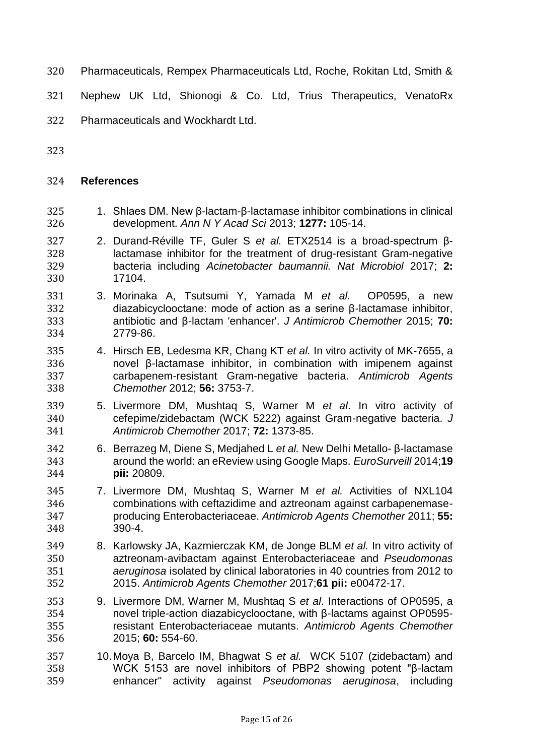- Pharmaceuticals, Rempex Pharmaceuticals Ltd, Roche, Rokitan Ltd, Smith &
- Nephew UK Ltd, Shionogi & Co. Ltd, Trius Therapeutics, VenatoRx
- Pharmaceuticals and Wockhardt Ltd.
- 

# **References**

- 1. Shlaes DM. New β-lactam-β-lactamase inhibitor combinations in clinical development. *Ann N Y Acad Sci* 2013; **1277:** 105-14.
- 2. Durand-Réville TF, Guler S *et al.* ETX2514 is a broad-spectrum β- lactamase inhibitor for the treatment of drug-resistant Gram-negative bacteria including *Acinetobacter baumannii. Nat Microbiol* 2017; **2:**  17104.
- 3. Morinaka A, Tsutsumi Y, Yamada M *et al.* OP0595, a new diazabicyclooctane: mode of action as a serine β-lactamase inhibitor, antibiotic and β-lactam 'enhancer'. *J Antimicrob Chemother* 2015; **70:** 2779-86.
- 4. Hirsch EB, Ledesma KR, Chang KT *et al.* In vitro activity of MK-7655, a novel β-lactamase inhibitor, in combination with imipenem against carbapenem-resistant Gram-negative bacteria. *Antimicrob Agents Chemother* 2012; **56:** 3753-7.
- 5. Livermore DM, Mushtaq S, Warner M *et al*. In vitro activity of cefepime/zidebactam (WCK 5222) against Gram-negative bacteria. *J Antimicrob Chemother* 2017; **72:** 1373-85.
- 6. Berrazeg M, Diene S, Medjahed L *et al.* New Delhi Metallo- β-lactamase around the world: an eReview using Google Maps. *EuroSurveill* 2014;**19 pii:** 20809.
- 7. Livermore DM, Mushtaq S, Warner M *et al.* Activities of NXL104 combinations with ceftazidime and aztreonam against carbapenemase- producing Enterobacteriaceae. *Antimicrob Agents Chemother* 2011; **55:** 390-4.
- 8. Karlowsky JA, Kazmierczak KM, de Jonge BLM *et al.* In vitro activity of aztreonam-avibactam against Enterobacteriaceae and *Pseudomonas aeruginosa* isolated by clinical laboratories in 40 countries from 2012 to 2015. *Antimicrob Agents Chemother* 2017;**61 pii:** e00472-17.
- 9. Livermore DM, Warner M, Mushtaq S *et al*. Interactions of OP0595, a novel triple-action diazabicyclooctane, with β-lactams against OP0595- resistant Enterobacteriaceae mutants. *Antimicrob Agents Chemother* 2015; **60:** 554-60.
- 10.Moya B, Barcelo IM, Bhagwat S *et al.* WCK 5107 (zidebactam) and WCK 5153 are novel inhibitors of PBP2 showing potent "β-lactam enhancer" activity against *Pseudomonas aeruginosa*, including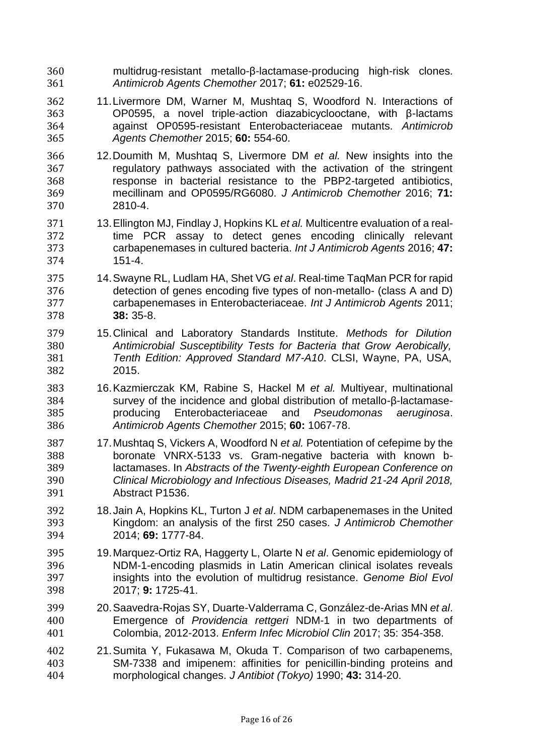- multidrug-resistant metallo-β-lactamase-producing high-risk clones. *Antimicrob Agents Chemother* 2017; **61:** e02529-16.
- 11.Livermore DM, Warner M, Mushtaq S, Woodford N. Interactions of OP0595, a novel triple-action diazabicyclooctane, with β-lactams against OP0595-resistant Enterobacteriaceae mutants. *Antimicrob Agents Chemother* 2015; **60:** 554-60.
- 12.Doumith M, Mushtaq S, Livermore DM *et al.* New insights into the regulatory pathways associated with the activation of the stringent response in bacterial resistance to the PBP2-targeted antibiotics, mecillinam and OP0595/RG6080. *J Antimicrob Chemother* 2016; **71:** 2810-4.
- 13.Ellington MJ, Findlay J, Hopkins KL *et al.* Multicentre evaluation of a real- time PCR assay to detect genes encoding clinically relevant carbapenemases in cultured bacteria. *Int J Antimicrob Agents* 2016; **47:** 151-4.
- 14.Swayne RL, Ludlam HA, Shet VG *et al*. Real-time TaqMan PCR for rapid detection of genes encoding five types of non-metallo- (class A and D) carbapenemases in Enterobacteriaceae. *Int J Antimicrob Agents* 2011; **38:** 35-8.
- 15.Clinical and Laboratory Standards Institute. *Methods for Dilution Antimicrobial Susceptibility Tests for Bacteria that Grow Aerobically, Tenth Edition: Approved Standard M7-A10*. CLSI, Wayne, PA, USA, 2015.
- 16.Kazmierczak KM, Rabine S, Hackel M *et al.* Multiyear, multinational survey of the incidence and global distribution of metallo-β-lactamase- producing Enterobacteriaceae and *Pseudomonas aeruginosa*. *Antimicrob Agents Chemother* 2015; **60:** 1067-78.
- 17.Mushtaq S, Vickers A, Woodford N *et al.* Potentiation of cefepime by the boronate VNRX-5133 vs. Gram-negative bacteria with known b- lactamases. In *Abstracts of the Twenty-eighth European Conference on Clinical Microbiology and Infectious Diseases, Madrid 21-24 April 2018,*  Abstract P1536.
- 18.Jain A, Hopkins KL, Turton J *et al*. NDM carbapenemases in the United Kingdom: an analysis of the first 250 cases. *J Antimicrob Chemother* 2014; **69:** 1777-84.
- 19.Marquez-Ortiz RA, Haggerty L, Olarte N *et al*. Genomic epidemiology of NDM-1-encoding plasmids in Latin American clinical isolates reveals insights into the evolution of multidrug resistance. *Genome Biol Evol* 2017; **9:** 1725-41.
- 20.Saavedra-Rojas SY, Duarte-Valderrama C, González-de-Arias MN *et al*. Emergence of *Providencia rettgeri* NDM-1 in two departments of Colombia, 2012-2013. *Enferm Infec Microbiol Clin* 2017; 35: 354-358.
- 21.Sumita Y, Fukasawa M, Okuda T. Comparison of two carbapenems, SM-7338 and imipenem: affinities for penicillin-binding proteins and morphological changes. *J Antibiot (Tokyo)* 1990; **43:** 314-20.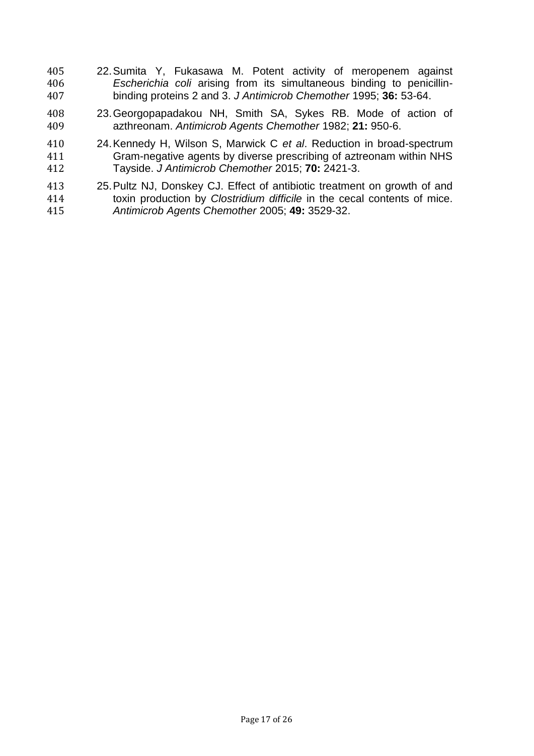- 22.Sumita Y, Fukasawa M. Potent activity of meropenem against *Escherichia coli* arising from its simultaneous binding to penicillin-binding proteins 2 and 3. *J Antimicrob Chemother* 1995; **36:** 53-64.
- 23.Georgopapadakou NH, Smith SA, Sykes RB. Mode of action of azthreonam. *Antimicrob Agents Chemother* 1982; **21:** 950-6.
- 24.Kennedy H, Wilson S, Marwick C *et al*. Reduction in broad-spectrum Gram-negative agents by diverse prescribing of aztreonam within NHS Tayside. *J Antimicrob Chemother* 2015; **70:** 2421-3.
- 25.Pultz NJ, Donskey CJ. Effect of antibiotic treatment on growth of and toxin production by *Clostridium difficile* in the cecal contents of mice. *Antimicrob Agents Chemother* 2005; **49:** 3529-32.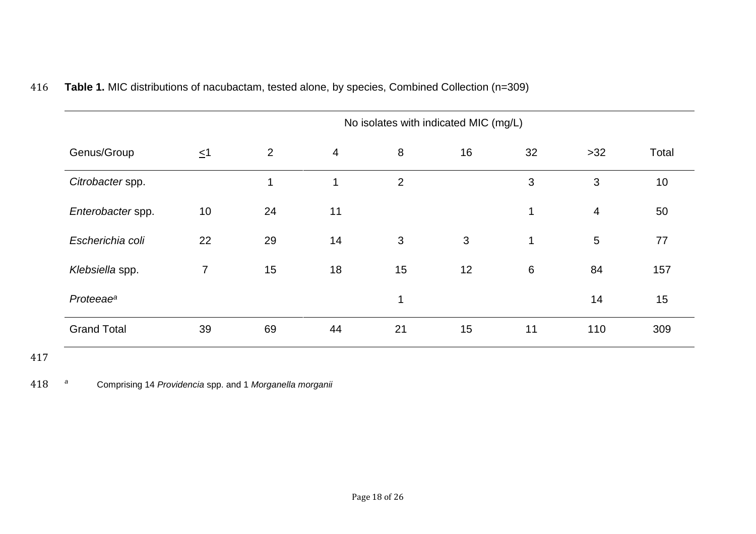|                       |                |    |                          |                | No isolates with indicated MIC (mg/L) |              |                 |       |
|-----------------------|----------------|----|--------------------------|----------------|---------------------------------------|--------------|-----------------|-------|
| Genus/Group           | $\leq$ 1       | 2  | $\overline{\mathcal{A}}$ | 8              | 16                                    | 32           | $>32$           | Total |
| Citrobacter spp.      |                | 1  | $\mathbf 1$              | $\overline{2}$ |                                       | 3            | 3               | 10    |
| Enterobacter spp.     | 10             | 24 | 11                       |                |                                       | 1            | $\overline{4}$  | 50    |
| Escherichia coli      | 22             | 29 | 14                       | 3              | 3                                     | $\mathbf{1}$ | $5\phantom{.0}$ | 77    |
| Klebsiella spp.       | $\overline{7}$ | 15 | 18                       | 15             | 12                                    | 6            | 84              | 157   |
| Proteeae <sup>a</sup> |                |    |                          | $\mathbf{1}$   |                                       |              | 14              | 15    |
| <b>Grand Total</b>    | 39             | 69 | 44                       | 21             | 15                                    | 11           | 110             | 309   |

# 416 **Table 1.** MIC distributions of nacubactam, tested alone, by species, Combined Collection (n=309)

417

*<sup>a</sup>* 418 Comprising 14 *Providencia* spp. and 1 *Morganella morganii*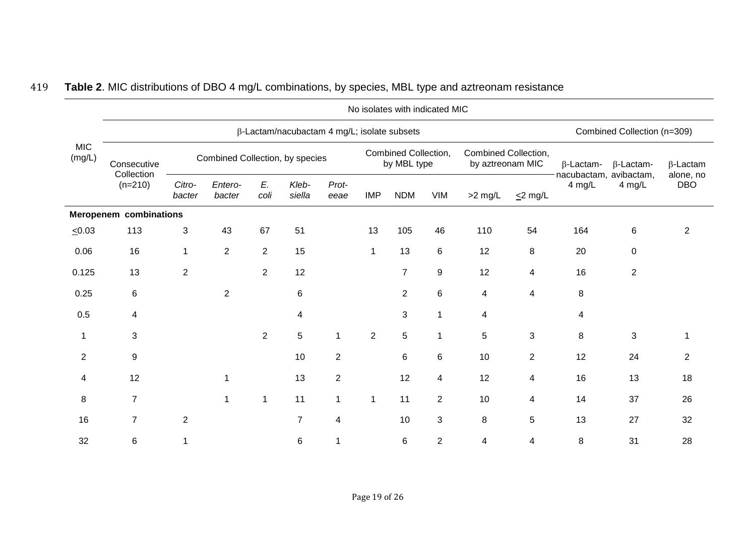|                      |                                        | No isolates with indicated MIC  |                             |                |                 |                |                |                                                                                 |                         |           |                                                                |        |                  |                         |  |
|----------------------|----------------------------------------|---------------------------------|-----------------------------|----------------|-----------------|----------------|----------------|---------------------------------------------------------------------------------|-------------------------|-----------|----------------------------------------------------------------|--------|------------------|-------------------------|--|
| <b>MIC</b><br>(mg/L) |                                        |                                 | Combined Collection (n=309) |                |                 |                |                |                                                                                 |                         |           |                                                                |        |                  |                         |  |
|                      | Consecutive<br>Collection<br>$(n=210)$ | Combined Collection, by species |                             |                |                 |                |                | Combined Collection,<br>Combined Collection,<br>by MBL type<br>by aztreonam MIC |                         |           | $\beta$ -Lactam-<br>$\beta$ -Lactam-<br>nacubactam, avibactam, |        | $\beta$ -Lactam  |                         |  |
|                      |                                        | Citro-<br>bacter                | Entero-<br>bacter           | E.<br>coli     | Kleb-<br>siella | Prot-<br>eeae  | <b>IMP</b>     | <b>NDM</b>                                                                      | VIM                     | $>2$ mg/L | $\leq$ 2 mg/L                                                  | 4 mg/L | 4 mg/L           | alone, no<br><b>DBO</b> |  |
|                      | <b>Meropenem combinations</b>          |                                 |                             |                |                 |                |                |                                                                                 |                         |           |                                                                |        |                  |                         |  |
| $\leq 0.03$          | 113                                    | $\mathbf{3}$                    | 43                          | 67             | 51              |                | 13             | 105                                                                             | 46                      | 110       | 54                                                             | 164    | $\,6$            | $\mathbf{2}$            |  |
| 0.06                 | 16                                     | 1                               | $\overline{2}$              | $\overline{2}$ | 15              |                | $\mathbf{1}$   | 13                                                                              | 6                       | 12        | 8                                                              | 20     | $\boldsymbol{0}$ |                         |  |
| 0.125                | 13                                     | $\mathbf{2}$                    |                             | $\overline{2}$ | 12              |                |                | $\overline{7}$                                                                  | $\boldsymbol{9}$        | 12        | 4                                                              | 16     | $\overline{2}$   |                         |  |
| 0.25                 | 6                                      |                                 | $\overline{2}$              |                | 6               |                |                | $\overline{2}$                                                                  | 6                       | 4         | 4                                                              | 8      |                  |                         |  |
| 0.5                  | $\overline{a}$                         |                                 |                             |                | 4               |                |                | 3                                                                               | 1                       | 4         |                                                                | 4      |                  |                         |  |
| 1                    | 3                                      |                                 |                             | $\overline{2}$ | 5               | $\overline{1}$ | $\overline{2}$ | 5                                                                               | $\mathbf{1}$            | 5         | 3                                                              | 8      | 3                | 1                       |  |
| $\overline{2}$       | $9\,$                                  |                                 |                             |                | 10              | $\overline{2}$ |                | 6                                                                               | 6                       | 10        | $\overline{2}$                                                 | 12     | 24               | 2                       |  |
| 4                    | 12                                     |                                 | 1                           |                | 13              | $\overline{2}$ |                | 12                                                                              | $\overline{\mathbf{4}}$ | 12        | 4                                                              | 16     | 13               | 18                      |  |
| 8                    | $\overline{7}$                         |                                 | 1                           | $\mathbf{1}$   | 11              | $\mathbf{1}$   | $\mathbf{1}$   | 11                                                                              | $\overline{2}$          | 10        | 4                                                              | 14     | 37               | 26                      |  |
| 16                   | $\overline{7}$                         | $\overline{2}$                  |                             |                | $\overline{7}$  | 4              |                | 10                                                                              | 3                       | 8         | 5                                                              | 13     | 27               | 32                      |  |
| 32                   | 6                                      | 1                               |                             |                | 6               | 1              |                | 6                                                                               | $\overline{2}$          | 4         | 4                                                              | 8      | 31               | 28                      |  |

# 419 **Table 2**. MIC distributions of DBO 4 mg/L combinations, by species, MBL type and aztreonam resistance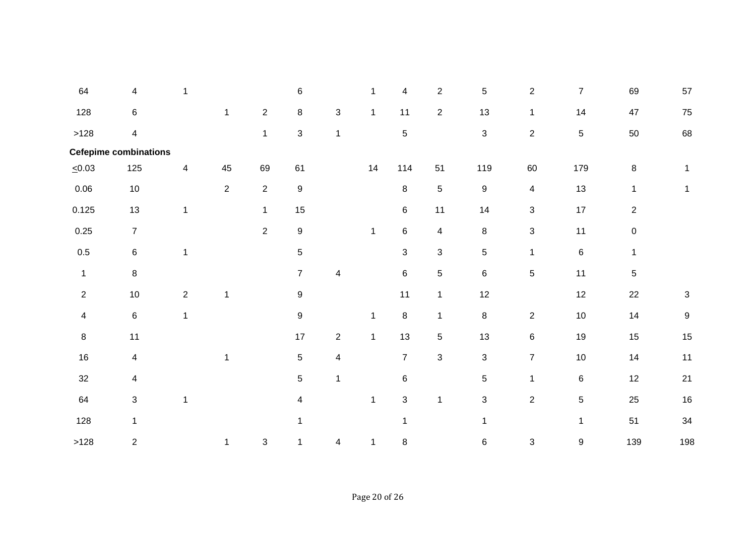| 64             | 4                            |                |                |                | 6                       |                         | 1            | 4              | $\overline{2}$          | 5                | $\overline{2}$          | $\overline{7}$ | 69                  | 57             |
|----------------|------------------------------|----------------|----------------|----------------|-------------------------|-------------------------|--------------|----------------|-------------------------|------------------|-------------------------|----------------|---------------------|----------------|
| 128            | 6                            |                | $\mathbf{1}$   | $\overline{2}$ | 8                       | 3                       | $\mathbf{1}$ | 11             | $\overline{2}$          | 13               | $\mathbf{1}$            | 14             | 47                  | 75             |
| >128           | $\overline{4}$               |                |                | $\mathbf{1}$   | $\mathfrak{S}$          | $\mathbf{1}$            |              | $\overline{5}$ |                         | 3                | $\overline{2}$          | 5              | 50                  | 68             |
|                | <b>Cefepime combinations</b> |                |                |                |                         |                         |              |                |                         |                  |                         |                |                     |                |
| $\leq 0.03$    | 125                          | 4              | 45             | 69             | 61                      |                         | 14           | 114            | 51                      | 119              | 60                      | 179            | $\bf 8$             | $\mathbf{1}$   |
| 0.06           | $10$                         |                | $\overline{2}$ | $\overline{2}$ | 9                       |                         |              | 8              | 5                       | $\boldsymbol{9}$ | $\overline{\mathbf{4}}$ | 13             | $\mathbf{1}$        | 1              |
| 0.125          | 13                           | $\mathbf{1}$   |                | $\mathbf{1}$   | 15                      |                         |              | 6              | 11                      | 14               | 3                       | 17             | $\overline{2}$      |                |
| 0.25           | $\overline{7}$               |                |                | $\overline{2}$ | $\boldsymbol{9}$        |                         | $\mathbf{1}$ | 6              | $\overline{\mathbf{4}}$ | $\,8\,$          | 3                       | 11             | $\mathsf{O}\xspace$ |                |
| $0.5\,$        | 6                            | 1              |                |                | $\sqrt{5}$              |                         |              | 3              | $\sqrt{3}$              | $\mathbf 5$      | $\mathbf{1}$            | $\,6\,$        | $\mathbf{1}$        |                |
| $\mathbf{1}$   | 8                            |                |                |                | $\overline{7}$          | 4                       |              | $\,6\,$        | 5                       | $\,6\,$          | $\,$ 5 $\,$             | 11             | 5                   |                |
| $\overline{2}$ | 10                           | $\overline{2}$ | $\mathbf{1}$   |                | $\boldsymbol{9}$        |                         |              | 11             | $\mathbf{1}$            | 12               |                         | 12             | 22                  | $\mathfrak{S}$ |
| $\overline{4}$ | $\,6\,$                      | $\mathbf{1}$   |                |                | $\boldsymbol{9}$        |                         | 1            | 8              | $\mathbf 1$             | $\bf 8$          | $\overline{c}$          | $10\,$         | 14                  | 9              |
| $\bf 8$        | 11                           |                |                |                | 17                      | $\overline{c}$          | $\mathbf{1}$ | 13             | 5                       | 13               | 6                       | 19             | 15                  | 15             |
| 16             | 4                            |                | $\mathbf{1}$   |                | 5                       | $\overline{\mathbf{4}}$ |              | $\overline{7}$ | $\mathfrak{S}$          | $\sqrt{3}$       | $\overline{7}$          | $10$           | 14                  | 11             |
| 32             | 4                            |                |                |                | $\,$ 5 $\,$             | 1                       |              | 6              |                         | 5                | $\mathbf{1}$            | 6              | 12                  | 21             |
| 64             | 3                            | 1              |                |                | $\overline{\mathbf{4}}$ |                         | $\mathbf{1}$ | 3              | $\mathbf{1}$            | 3                | $\overline{2}$          | 5              | 25                  | 16             |
| 128            | $\mathbf{1}$                 |                |                |                | $\mathbf 1$             |                         |              | 1              |                         | $\mathbf{1}$     |                         | $\mathbf{1}$   | 51                  | 34             |
| >128           | $\overline{2}$               |                | 1              | 3              | 1                       | 4                       | 1            | 8              |                         | 6                | $\sqrt{3}$              | 9              | 139                 | 198            |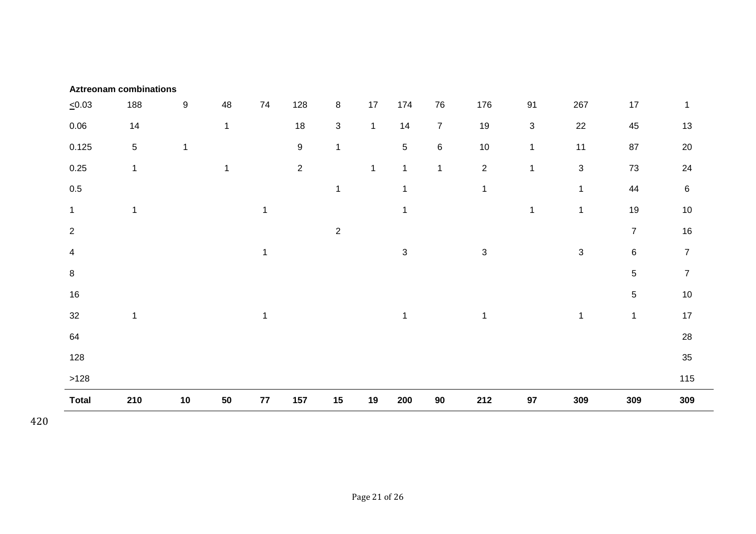|                | <b>Aztreonam combinations</b> |                  |              |              |                |                |              |                           |                |                |              |                |                |                  |
|----------------|-------------------------------|------------------|--------------|--------------|----------------|----------------|--------------|---------------------------|----------------|----------------|--------------|----------------|----------------|------------------|
| $\leq 0.03$    | 188                           | $\boldsymbol{9}$ | 48           | 74           | 128            | $\, 8$         | 17           | 174                       | 76             | 176            | 91           | 267            | $17$           | $\mathbf{1}$     |
| 0.06           | 14                            |                  | $\mathbf{1}$ |              | 18             | $\mathfrak{S}$ | $\mathbf{1}$ | 14                        | $\overline{7}$ | 19             | $\sqrt{3}$   | 22             | 45             | 13               |
| 0.125          | $5\phantom{.0}$               | 1                |              |              | $9\,$          | $\mathbf{1}$   |              | $5\phantom{.0}$           | $\,6\,$        | $10\,$         | $\mathbf 1$  | 11             | 87             | 20               |
| 0.25           | $\mathbf{1}$                  |                  | 1            |              | $\overline{2}$ |                | $\mathbf{1}$ | $\mathbf{1}$              | $\mathbf{1}$   | $\overline{2}$ | $\mathbf{1}$ | $\mathfrak{S}$ | 73             | 24               |
| $0.5\,$        |                               |                  |              |              |                | $\mathbf{1}$   |              | $\mathbf{1}$              |                | $\mathbf 1$    |              | $\mathbf{1}$   | 44             | $\,6\,$          |
| $\mathbf{1}$   | $\mathbf{1}$                  |                  |              | $\mathbf{1}$ |                |                |              | $\mathbf{1}$              |                |                | $\mathbf{1}$ | $\mathbf 1$    | 19             | 10               |
| $\overline{2}$ |                               |                  |              |              |                | $\overline{2}$ |              |                           |                |                |              |                | $\overline{7}$ | $16\,$           |
| 4              |                               |                  |              | 1            |                |                |              | $\ensuremath{\mathsf{3}}$ |                | $\mathfrak{S}$ |              | $\sqrt{3}$     | $\,6\,$        | $\boldsymbol{7}$ |
| 8              |                               |                  |              |              |                |                |              |                           |                |                |              |                | 5              | $\overline{7}$   |
| 16             |                               |                  |              |              |                |                |              |                           |                |                |              |                | 5              | $10$             |
| 32             | $\mathbf{1}$                  |                  |              | $\mathbf{1}$ |                |                |              | $\mathbf{1}$              |                | $\mathbf{1}$   |              | $\mathbf{1}$   | $\mathbf{1}$   | 17               |
| 64             |                               |                  |              |              |                |                |              |                           |                |                |              |                |                | 28               |
| 128            |                               |                  |              |              |                |                |              |                           |                |                |              |                |                | 35               |
| >128           |                               |                  |              |              |                |                |              |                           |                |                |              |                |                | 115              |
| <b>Total</b>   | 210                           | 10               | 50           | 77           | 157            | 15             | 19           | 200                       | 90             | 212            | 97           | 309            | 309            | 309              |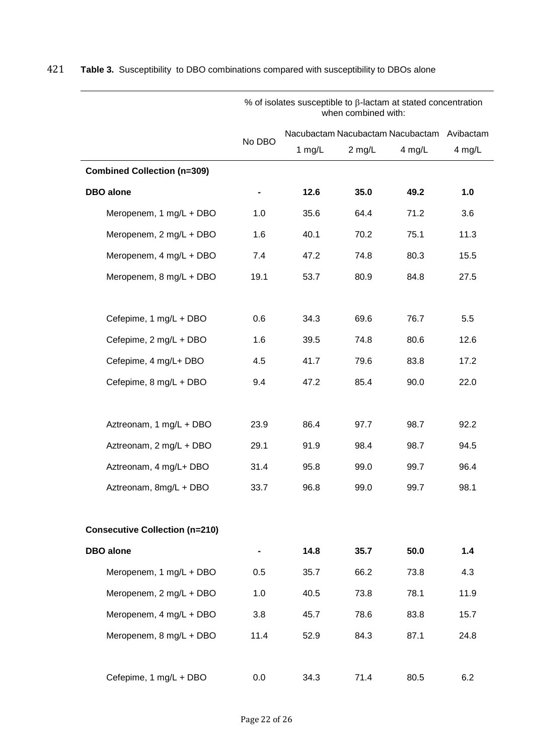|                                       | % of isolates susceptible to $\beta$ -lactam at stated concentration<br>when combined with: |          |          |                                            |        |  |  |  |  |
|---------------------------------------|---------------------------------------------------------------------------------------------|----------|----------|--------------------------------------------|--------|--|--|--|--|
|                                       |                                                                                             |          |          | Nacubactam Nacubactam Nacubactam Avibactam |        |  |  |  |  |
|                                       | No DBO                                                                                      | 1 $mg/L$ | $2$ mg/L | 4 mg/L                                     | 4 mg/L |  |  |  |  |
| <b>Combined Collection (n=309)</b>    |                                                                                             |          |          |                                            |        |  |  |  |  |
| <b>DBO</b> alone                      |                                                                                             | 12.6     | 35.0     | 49.2                                       | 1.0    |  |  |  |  |
| Meropenem, 1 mg/L + DBO               | 1.0                                                                                         | 35.6     | 64.4     | 71.2                                       | 3.6    |  |  |  |  |
| Meropenem, 2 mg/L + DBO               | 1.6                                                                                         | 40.1     | 70.2     | 75.1                                       | 11.3   |  |  |  |  |
| Meropenem, 4 mg/L + DBO               | 7.4                                                                                         | 47.2     | 74.8     | 80.3                                       | 15.5   |  |  |  |  |
| Meropenem, 8 mg/L + DBO               | 19.1                                                                                        | 53.7     | 80.9     | 84.8                                       | 27.5   |  |  |  |  |
|                                       |                                                                                             |          |          |                                            |        |  |  |  |  |
| Cefepime, 1 mg/L + DBO                | 0.6                                                                                         | 34.3     | 69.6     | 76.7                                       | 5.5    |  |  |  |  |
| Cefepime, 2 mg/L + DBO                | 1.6                                                                                         | 39.5     | 74.8     | 80.6                                       | 12.6   |  |  |  |  |
| Cefepime, 4 mg/L+ DBO                 | 4.5                                                                                         | 41.7     | 79.6     | 83.8                                       | 17.2   |  |  |  |  |
| Cefepime, 8 mg/L + DBO                | 9.4                                                                                         | 47.2     | 85.4     | 90.0                                       | 22.0   |  |  |  |  |
|                                       |                                                                                             |          |          |                                            |        |  |  |  |  |
| Aztreonam, 1 mg/L + DBO               | 23.9                                                                                        | 86.4     | 97.7     | 98.7                                       | 92.2   |  |  |  |  |
| Aztreonam, 2 mg/L + DBO               | 29.1                                                                                        | 91.9     | 98.4     | 98.7                                       | 94.5   |  |  |  |  |
| Aztreonam, 4 mg/L+ DBO                | 31.4                                                                                        | 95.8     | 99.0     | 99.7                                       | 96.4   |  |  |  |  |
| Aztreonam, 8mg/L + DBO                | 33.7                                                                                        | 96.8     | 99.0     | 99.7                                       | 98.1   |  |  |  |  |
|                                       |                                                                                             |          |          |                                            |        |  |  |  |  |
| <b>Consecutive Collection (n=210)</b> |                                                                                             |          |          |                                            |        |  |  |  |  |
| <b>DBO</b> alone                      |                                                                                             | 14.8     | 35.7     | 50.0                                       | 1.4    |  |  |  |  |
| Meropenem, 1 mg/L + DBO               | 0.5                                                                                         | 35.7     | 66.2     | 73.8                                       | 4.3    |  |  |  |  |
| Meropenem, 2 mg/L + DBO               | 1.0                                                                                         | 40.5     | 73.8     | 78.1                                       | 11.9   |  |  |  |  |
| Meropenem, 4 mg/L + DBO               | 3.8                                                                                         | 45.7     | 78.6     | 83.8                                       | 15.7   |  |  |  |  |
| Meropenem, 8 mg/L + DBO               | 11.4                                                                                        | 52.9     | 84.3     | 87.1                                       | 24.8   |  |  |  |  |
|                                       |                                                                                             |          |          |                                            |        |  |  |  |  |
| Cefepime, 1 mg/L + DBO                | 0.0                                                                                         | 34.3     | 71.4     | 80.5                                       | 6.2    |  |  |  |  |

# 421 **Table 3.** Susceptibility to DBO combinations compared with susceptibility to DBOs alone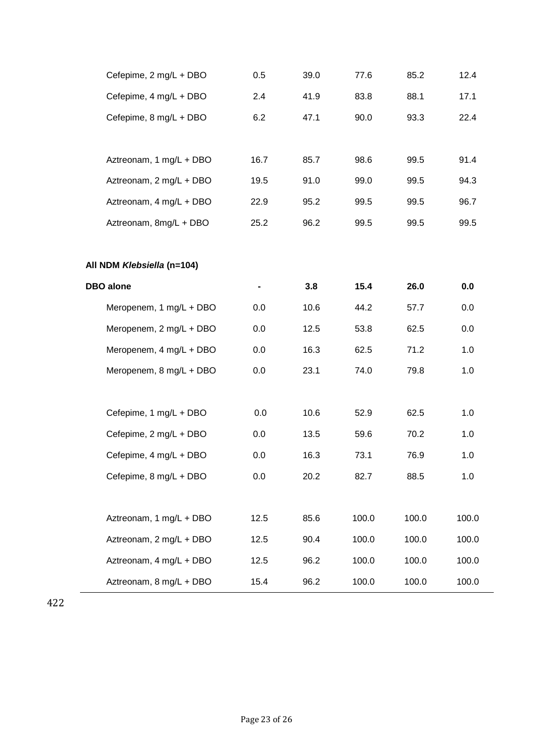| Cefepime, 2 mg/L + DBO     | 0.5  | 39.0 | 77.6  | 85.2  | 12.4  |
|----------------------------|------|------|-------|-------|-------|
| Cefepime, 4 mg/L + DBO     | 2.4  | 41.9 | 83.8  | 88.1  | 17.1  |
| Cefepime, 8 mg/L + DBO     | 6.2  | 47.1 | 90.0  | 93.3  | 22.4  |
|                            |      |      |       |       |       |
| Aztreonam, 1 mg/L + DBO    | 16.7 | 85.7 | 98.6  | 99.5  | 91.4  |
| Aztreonam, 2 mg/L + DBO    | 19.5 | 91.0 | 99.0  | 99.5  | 94.3  |
| Aztreonam, 4 mg/L + DBO    | 22.9 | 95.2 | 99.5  | 99.5  | 96.7  |
| Aztreonam, 8mg/L + DBO     | 25.2 | 96.2 | 99.5  | 99.5  | 99.5  |
|                            |      |      |       |       |       |
| All NDM Klebsiella (n=104) |      |      |       |       |       |
| <b>DBO</b> alone           |      | 3.8  | 15.4  | 26.0  | 0.0   |
| Meropenem, 1 mg/L + DBO    | 0.0  | 10.6 | 44.2  | 57.7  | 0.0   |
| Meropenem, 2 mg/L + DBO    | 0.0  | 12.5 | 53.8  | 62.5  | 0.0   |
| Meropenem, 4 mg/L + DBO    | 0.0  | 16.3 | 62.5  | 71.2  | 1.0   |
| Meropenem, 8 mg/L + DBO    | 0.0  | 23.1 | 74.0  | 79.8  | 1.0   |
|                            |      |      |       |       |       |
| Cefepime, 1 mg/L + DBO     | 0.0  | 10.6 | 52.9  | 62.5  | 1.0   |
| Cefepime, 2 mg/L + DBO     | 0.0  | 13.5 | 59.6  | 70.2  | 1.0   |
| Cefepime, 4 mg/L + DBO     | 0.0  | 16.3 | 73.1  | 76.9  | 1.0   |
| Cefepime, 8 mg/L + DBO     | 0.0  | 20.2 | 82.7  | 88.5  | 1.0   |
|                            |      |      |       |       |       |
| Aztreonam, 1 mg/L + DBO    | 12.5 | 85.6 | 100.0 | 100.0 | 100.0 |
| Aztreonam, 2 mg/L + DBO    | 12.5 | 90.4 | 100.0 | 100.0 | 100.0 |
| Aztreonam, 4 mg/L + DBO    | 12.5 | 96.2 | 100.0 | 100.0 | 100.0 |
| Aztreonam, 8 mg/L + DBO    | 15.4 | 96.2 | 100.0 | 100.0 | 100.0 |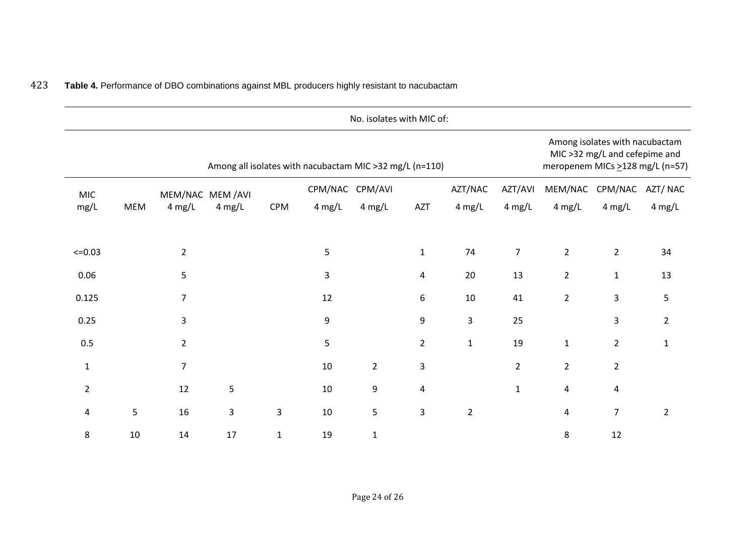|                |        |                |                  |              |                                                         | No. isolates with MIC of: |                |                  |                  |                |                                                                 |                                  |
|----------------|--------|----------------|------------------|--------------|---------------------------------------------------------|---------------------------|----------------|------------------|------------------|----------------|-----------------------------------------------------------------|----------------------------------|
|                |        |                |                  |              | Among all isolates with nacubactam MIC >32 mg/L (n=110) |                           |                |                  |                  |                | Among isolates with nacubactam<br>MIC >32 mg/L and cefepime and | meropenem MICs > 128 mg/L (n=57) |
| <b>MIC</b>     |        |                | MEM/NAC MEM /AVI |              | CPM/NAC                                                 | CPM/AVI                   |                | AZT/NAC          | AZT/AVI          | MEM/NAC        | CPM/NAC                                                         | AZT/NAC                          |
| mg/L           | MEM    | $4$ mg/L       | $4$ mg/L         | <b>CPM</b>   | $4 \text{ mg/L}$                                        | $4 \text{ mg/L}$          | AZT            | $4 \text{ mg/L}$ | $4$ mg/L         | $4$ mg/L       | $4$ mg/L                                                        | $4$ mg/L                         |
| $<=0.03$       |        | $\overline{2}$ |                  |              | 5                                                       |                           | $\mathbf{1}$   | 74               | $\boldsymbol{7}$ | $\overline{2}$ | $\overline{2}$                                                  | 34                               |
| 0.06           |        | 5              |                  |              | 3                                                       |                           | 4              | 20               | 13               | $\overline{2}$ | $\mathbf{1}$                                                    | 13                               |
| 0.125          |        | $\overline{7}$ |                  |              | 12                                                      |                           | 6              | $10\,$           | 41               | $\overline{2}$ | 3                                                               | 5                                |
| 0.25           |        | $\mathsf{3}$   |                  |              | 9                                                       |                           | 9              | $\mathsf 3$      | 25               |                | 3                                                               | $\overline{2}$                   |
| 0.5            |        | $\overline{2}$ |                  |              | 5                                                       |                           | $\overline{2}$ | $\mathbf{1}$     | 19               | $\mathbf{1}$   | $\overline{2}$                                                  | 1                                |
| $\mathbf 1$    |        | $\overline{7}$ |                  |              | $10\,$                                                  | $\overline{2}$            | $\mathsf{3}$   |                  | $\overline{2}$   | $\overline{2}$ | $\overline{2}$                                                  |                                  |
| $\overline{2}$ |        | 12             | 5                |              | $10\,$                                                  | $\boldsymbol{9}$          | 4              |                  | $\mathbf 1$      | 4              | 4                                                               |                                  |
| 4              | 5      | 16             | 3                | 3            | 10                                                      | 5                         | 3              | $\overline{2}$   |                  | 4              | $\overline{7}$                                                  | $\overline{2}$                   |
| 8              | $10\,$ | 14             | 17               | $\mathbf{1}$ | 19                                                      | $\mathbf{1}$              |                |                  |                  | 8              | 12                                                              |                                  |

# 423 **Table 4.** Performance of DBO combinations against MBL producers highly resistant to nacubactam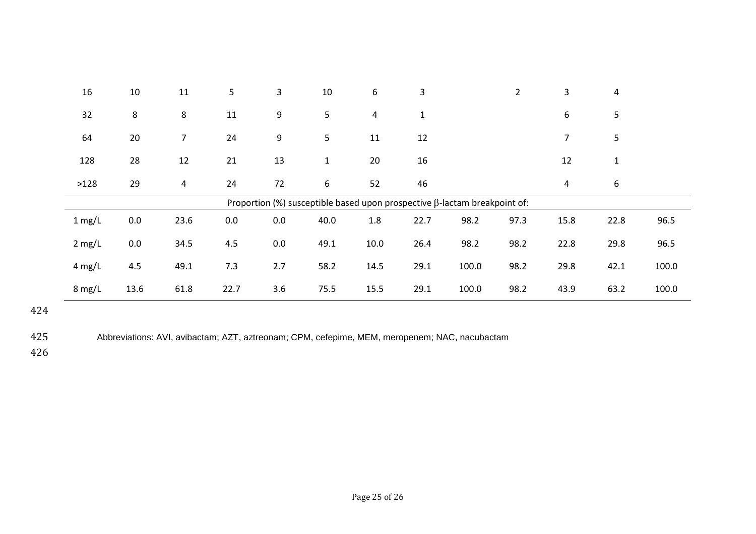| 16       | 10   | 11   | 5       | 3   | 10           | 6              | 3            |                                                                                  | $\overline{2}$ | 3              | 4            |       |
|----------|------|------|---------|-----|--------------|----------------|--------------|----------------------------------------------------------------------------------|----------------|----------------|--------------|-------|
| 32       | 8    | 8    | 11      | 9   | 5            | $\overline{a}$ | $\mathbf{1}$ |                                                                                  |                | 6              | 5            |       |
| 64       | 20   | 7    | 24      | 9   | 5            | 11             | 12           |                                                                                  |                | $\overline{7}$ | 5            |       |
| 128      | 28   | 12   | 21      | 13  | $\mathbf{1}$ | 20             | 16           |                                                                                  |                | 12             | $\mathbf{1}$ |       |
| >128     | 29   | 4    | 24      | 72  | 6            | 52             | 46           |                                                                                  |                | 4              | 6            |       |
|          |      |      |         |     |              |                |              | Proportion (%) susceptible based upon prospective $\beta$ -lactam breakpoint of: |                |                |              |       |
| $1$ mg/L | 0.0  | 23.6 | $0.0\,$ | 0.0 | 40.0         | 1.8            | 22.7         | 98.2                                                                             | 97.3           | 15.8           | 22.8         | 96.5  |
| $2$ mg/L | 0.0  | 34.5 | 4.5     | 0.0 | 49.1         | 10.0           | 26.4         | 98.2                                                                             | 98.2           | 22.8           | 29.8         | 96.5  |
| $4$ mg/L | 4.5  | 49.1 | 7.3     | 2.7 | 58.2         | 14.5           | 29.1         | 100.0                                                                            | 98.2           | 29.8           | 42.1         | 100.0 |
| $8$ mg/L | 13.6 | 61.8 | 22.7    | 3.6 | 75.5         | 15.5           | 29.1         | 100.0                                                                            | 98.2           | 43.9           | 63.2         | 100.0 |

425 Abbreviations: AVI, avibactam; AZT, aztreonam; CPM, cefepime, MEM, meropenem; NAC, nacubactam